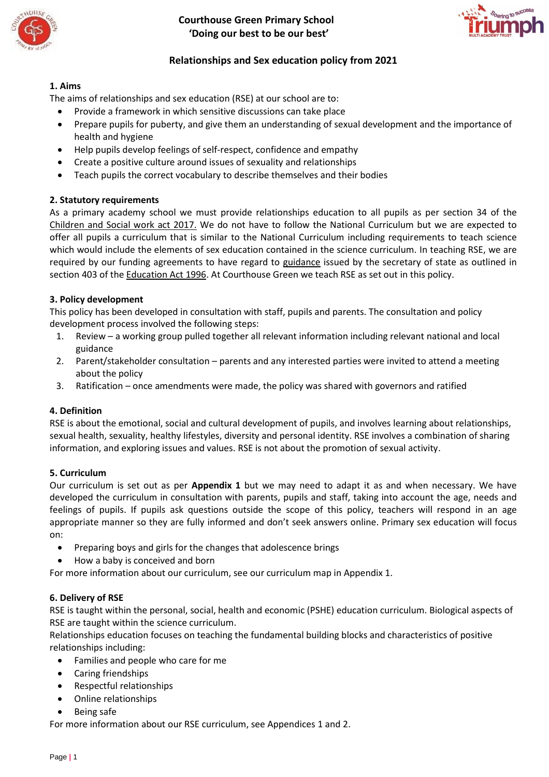

 **Courthouse Green Primary School 'Doing our best to be our best'**



# **Relationships and Sex education policy from 2021**

# **1. Aims**

The aims of relationships and sex education (RSE) at our school are to:

- Provide a framework in which sensitive discussions can take place
- Prepare pupils for puberty, and give them an understanding of sexual development and the importance of health and hygiene
- Help pupils develop feelings of self-respect, confidence and empathy
- Create a positive culture around issues of sexuality and relationships
- Teach pupils the correct vocabulary to describe themselves and their bodies

# **2. Statutory requirements**

As a primary academy school we must provide relationships education to all pupils as per section 34 of the [Children and Social work act 2017.](http://www.legislation.gov.uk/ukpga/2017/16/section/34/enacted) We do not have to follow the National Curriculum but we are expected to offer all pupils a curriculum that is similar to the National Curriculum including requirements to teach science which would include the elements of sex education contained in the science curriculum. In teaching RSE, we are required by our funding agreements to have regard to [guidance](https://www.gov.uk/government/consultations/relationships-and-sex-education-and-health-education) issued by the secretary of state as outlined in section 403 of the [Education Act 1996.](http://www.legislation.gov.uk/ukpga/1996/56/contents) At Courthouse Green we teach RSE as set out in this policy.

### **3. Policy development**

This policy has been developed in consultation with staff, pupils and parents. The consultation and policy development process involved the following steps:

- 1. Review a working group pulled together all relevant information including relevant national and local guidance
- 2. Parent/stakeholder consultation parents and any interested parties were invited to attend a meeting about the policy
- 3. Ratification once amendments were made, the policy was shared with governors and ratified

# **4. Definition**

RSE is about the emotional, social and cultural development of pupils, and involves learning about relationships, sexual health, sexuality, healthy lifestyles, diversity and personal identity. RSE involves a combination of sharing information, and exploring issues and values. RSE is not about the promotion of sexual activity.

### **5. Curriculum**

Our curriculum is set out as per **Appendix 1** but we may need to adapt it as and when necessary. We have developed the curriculum in consultation with parents, pupils and staff, taking into account the age, needs and feelings of pupils. If pupils ask questions outside the scope of this policy, teachers will respond in an age appropriate manner so they are fully informed and don't seek answers online. Primary sex education will focus on:

- Preparing boys and girls for the changes that adolescence brings
- How a baby is conceived and born

For more information about our curriculum, see our curriculum map in Appendix 1.

# **6. Delivery of RSE**

RSE is taught within the personal, social, health and economic (PSHE) education curriculum. Biological aspects of RSE are taught within the science curriculum.

Relationships education focuses on teaching the fundamental building blocks and characteristics of positive relationships including:

- Families and people who care for me
- Caring friendships
- Respectful relationships
- Online relationships
- Being safe

For more information about our RSE curriculum, see Appendices 1 and 2.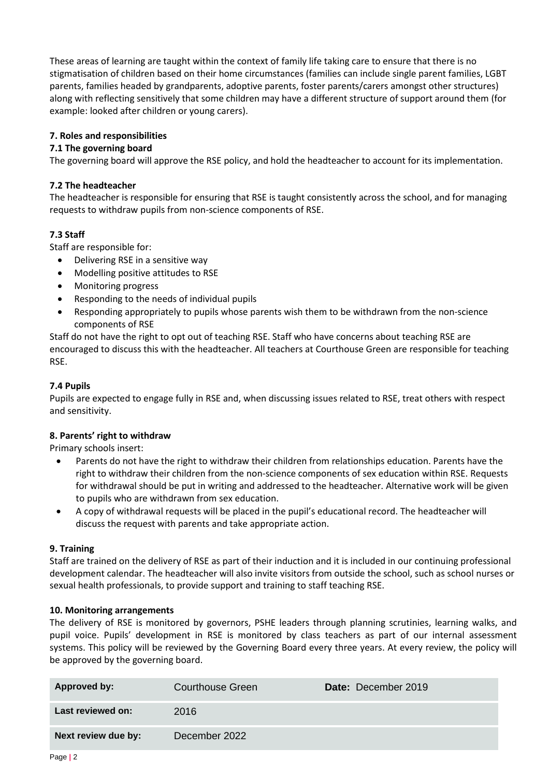These areas of learning are taught within the context of family life taking care to ensure that there is no stigmatisation of children based on their home circumstances (families can include single parent families, LGBT parents, families headed by grandparents, adoptive parents, foster parents/carers amongst other structures) along with reflecting sensitively that some children may have a different structure of support around them (for example: looked after children or young carers).

## **7. Roles and responsibilities**

### **7.1 The governing board**

The governing board will approve the RSE policy, and hold the headteacher to account for its implementation.

### **7.2 The headteacher**

The headteacher is responsible for ensuring that RSE is taught consistently across the school, and for managing requests to withdraw pupils from non-science components of RSE.

# **7.3 Staff**

Staff are responsible for:

- Delivering RSE in a sensitive way
- Modelling positive attitudes to RSE
- Monitoring progress
- Responding to the needs of individual pupils
- Responding appropriately to pupils whose parents wish them to be withdrawn from the non-science components of RSE

Staff do not have the right to opt out of teaching RSE. Staff who have concerns about teaching RSE are encouraged to discuss this with the headteacher. All teachers at Courthouse Green are responsible for teaching RSE.

### **7.4 Pupils**

Pupils are expected to engage fully in RSE and, when discussing issues related to RSE, treat others with respect and sensitivity.

### **8. Parents' right to withdraw**

Primary schools insert:

- Parents do not have the right to withdraw their children from relationships education. Parents have the right to withdraw their children from the non-science components of sex education within RSE. Requests for withdrawal should be put in writing and addressed to the headteacher. Alternative work will be given to pupils who are withdrawn from sex education.
- A copy of withdrawal requests will be placed in the pupil's educational record. The headteacher will discuss the request with parents and take appropriate action.

### **9. Training**

Staff are trained on the delivery of RSE as part of their induction and it is included in our continuing professional development calendar. The headteacher will also invite visitors from outside the school, such as school nurses or sexual health professionals, to provide support and training to staff teaching RSE.

### **10. Monitoring arrangements**

The delivery of RSE is monitored by governors, PSHE leaders through planning scrutinies, learning walks, and pupil voice. Pupils' development in RSE is monitored by class teachers as part of our internal assessment systems. This policy will be reviewed by the Governing Board every three years. At every review, the policy will be approved by the governing board.

| Approved by:        | Courthouse Green | <b>Date:</b> December 2019 |
|---------------------|------------------|----------------------------|
| Last reviewed on:   | 2016             |                            |
| Next review due by: | December 2022    |                            |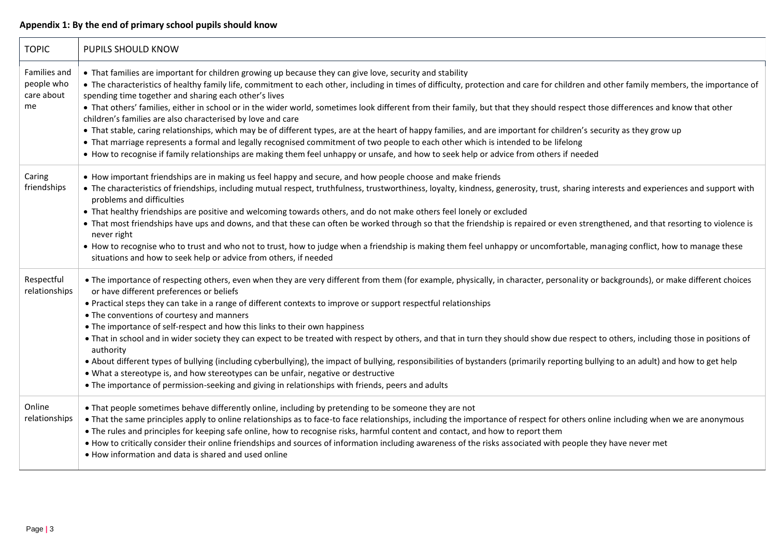# **Appendix 1: By the end of primary school pupils should know**

| <b>TOPIC</b>                                   | PUPILS SHOULD KNOW                                                                                                                                                                                                                                                                                                                                                                                                                                                                                                                                                                                                                                                                                                                                                                                                                                                                                                                                                                                                                                                    |
|------------------------------------------------|-----------------------------------------------------------------------------------------------------------------------------------------------------------------------------------------------------------------------------------------------------------------------------------------------------------------------------------------------------------------------------------------------------------------------------------------------------------------------------------------------------------------------------------------------------------------------------------------------------------------------------------------------------------------------------------------------------------------------------------------------------------------------------------------------------------------------------------------------------------------------------------------------------------------------------------------------------------------------------------------------------------------------------------------------------------------------|
| Families and<br>people who<br>care about<br>me | • That families are important for children growing up because they can give love, security and stability<br>• The characteristics of healthy family life, commitment to each other, including in times of difficulty, protection and care for children and other family members, the importance of<br>spending time together and sharing each other's lives<br>• That others' families, either in school or in the wider world, sometimes look different from their family, but that they should respect those differences and know that other<br>children's families are also characterised by love and care<br>• That stable, caring relationships, which may be of different types, are at the heart of happy families, and are important for children's security as they grow up<br>• That marriage represents a formal and legally recognised commitment of two people to each other which is intended to be lifelong<br>• How to recognise if family relationships are making them feel unhappy or unsafe, and how to seek help or advice from others if needed |
| Caring<br>friendships                          | • How important friendships are in making us feel happy and secure, and how people choose and make friends<br>• The characteristics of friendships, including mutual respect, truthfulness, trustworthiness, loyalty, kindness, generosity, trust, sharing interests and experiences and support with<br>problems and difficulties<br>• That healthy friendships are positive and welcoming towards others, and do not make others feel lonely or excluded<br>• That most friendships have ups and downs, and that these can often be worked through so that the friendship is repaired or even strengthened, and that resorting to violence is<br>never right<br>• How to recognise who to trust and who not to trust, how to judge when a friendship is making them feel unhappy or uncomfortable, managing conflict, how to manage these<br>situations and how to seek help or advice from others, if needed                                                                                                                                                       |
| Respectful<br>relationships                    | • The importance of respecting others, even when they are very different from them (for example, physically, in character, personality or backgrounds), or make different choices<br>or have different preferences or beliefs<br>• Practical steps they can take in a range of different contexts to improve or support respectful relationships<br>• The conventions of courtesy and manners<br>• The importance of self-respect and how this links to their own happiness<br>. That in school and in wider society they can expect to be treated with respect by others, and that in turn they should show due respect to others, including those in positions of<br>authority<br>. About different types of bullying (including cyberbullying), the impact of bullying, responsibilities of bystanders (primarily reporting bullying to an adult) and how to get help<br>. What a stereotype is, and how stereotypes can be unfair, negative or destructive<br>. The importance of permission-seeking and giving in relationships with friends, peers and adults   |
| Online<br>relationships                        | . That people sometimes behave differently online, including by pretending to be someone they are not<br>• That the same principles apply to online relationships as to face-to face relationships, including the importance of respect for others online including when we are anonymous<br>. The rules and principles for keeping safe online, how to recognise risks, harmful content and contact, and how to report them<br>. How to critically consider their online friendships and sources of information including awareness of the risks associated with people they have never met<br>. How information and data is shared and used online                                                                                                                                                                                                                                                                                                                                                                                                                  |